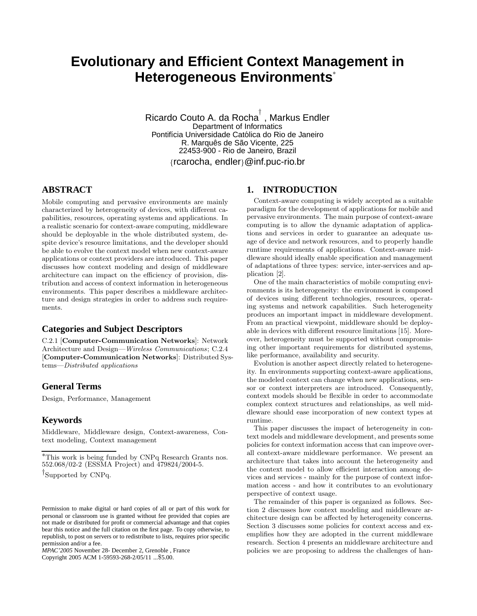# **Evolutionary and Efficient Context Management in Heterogeneous Environments**<sup>∗</sup>

Ricardo Couto A. da Rocha ${}^{\!\top}$  , Markus Endler Department of Informatics Pontifícia Universidade Católica do Rio de Janeiro R. Marquês de São Vicente, 225 22453-900 - Rio de Janeiro, Brazil {rcarocha, endler}@inf.puc-rio.br

# **ABSTRACT**

Mobile computing and pervasive environments are mainly characterized by heterogeneity of devices, with different capabilities, resources, operating systems and applications. In a realistic scenario for context-aware computing, middleware should be deployable in the whole distributed system, despite device's resource limitations, and the developer should be able to evolve the context model when new context-aware applications or context providers are introduced. This paper discusses how context modeling and design of middleware architecture can impact on the efficiency of provision, distribution and access of context information in heterogeneous environments. This paper describes a middleware architecture and design strategies in order to address such requirements.

## **Categories and Subject Descriptors**

C.2.1 [**Computer-Communication Networks**]: Network Architecture and Design—*Wireless Communications*; C.2.4 [**Computer-Communication Networks**]: Distributed Systems—*Distributed applications*

## **General Terms**

Design, Performance, Management

## **Keywords**

Middleware, Middleware design, Context-awareness, Context modeling, Context management

*MPAC'2005* November 28- December 2, Grenoble , France

Copyright 2005 ACM 1-59593-268-2/05/11 ...\$5.00.

## **1. INTRODUCTION**

Context-aware computing is widely accepted as a suitable paradigm for the development of applications for mobile and pervasive environments. The main purpose of context-aware computing is to allow the dynamic adaptation of applications and services in order to guarantee an adequate usage of device and network resources, and to properly handle runtime requirements of applications. Context-aware middleware should ideally enable specification and management of adaptations of three types: service, inter-services and application [2].

One of the main characteristics of mobile computing environments is its heterogeneity: the environment is composed of devices using different technologies, resources, operating systems and network capabilities. Such heterogeneity produces an important impact in middleware development. From an practical viewpoint, middleware should be deployable in devices with different resource limitations [15]. Moreover, heterogeneity must be supported without compromising other important requirements for distributed systems, like performance, availability and security.

Evolution is another aspect directly related to heterogeneity. In environments supporting context-aware applications, the modeled context can change when new applications, sensor or context interpreters are introduced. Consequently, context models should be flexible in order to accommodate complex context structures and relationships, as well middleware should ease incorporation of new context types at runtime.

This paper discusses the impact of heterogeneity in context models and middleware development, and presents some policies for context information access that can improve overall context-aware middleware performance. We present an architecture that takes into account the heterogeneity and the context model to allow efficient interaction among devices and services - mainly for the purpose of context information access - and how it contributes to an evolutionary perspective of context usage.

The remainder of this paper is organized as follows. Section 2 discusses how context modeling and middleware architecture design can be affected by heterogeneity concerns. Section 3 discusses some policies for context access and exemplifies how they are adopted in the current middleware research. Section 4 presents an middleware architecture and policies we are proposing to address the challenges of han-

<sup>∗</sup>This work is being funded by CNPq Research Grants nos. 552.068/02-2 (ESSMA Project) and 479824/2004-5.

<sup>†</sup>Supported by CNPq.

Permission to make digital or hard copies of all or part of this work for personal or classroom use is granted without fee provided that copies are not made or distributed for profit or commercial advantage and that copies bear this notice and the full citation on the first page. To copy otherwise, to republish, to post on servers or to redistribute to lists, requires prior specific permission and/or a fee.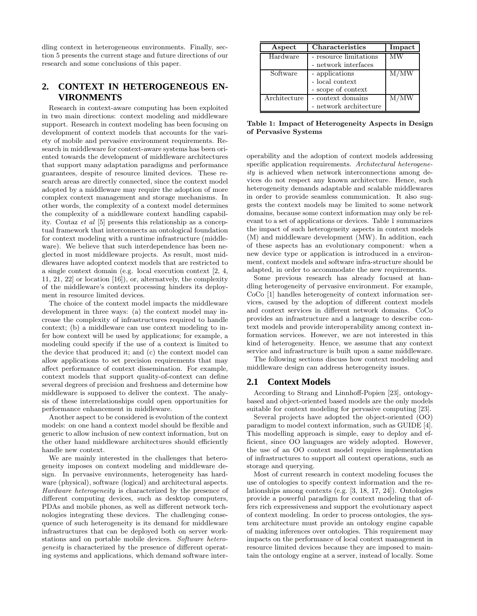dling context in heterogeneous environments. Finally, section 5 presents the current stage and future directions of our research and some conclusions of this paper.

# **2. CONTEXT IN HETEROGENEOUS EN-VIRONMENTS**

Research in context-aware computing has been exploited in two main directions: context modeling and middleware support. Research in context modeling has been focusing on development of context models that accounts for the variety of mobile and pervasive environment requirements. Research in middleware for context-aware systems has been oriented towards the development of middleware architectures that support many adaptation paradigms and performance guarantees, despite of resource limited devices. These research areas are directly connected, since the context model adopted by a middleware may require the adoption of more complex context management and storage mechanisms. In other words, the complexity of a context model determines the complexity of a middleware context handling capability. Coutaz *et al* [5] presents this relationship as a conceptual framework that interconnects an ontological foundation for context modeling with a runtime infrastructure (middleware). We believe that such interdependence has been neglected in most middleware projects. As result, most middlewares have adopted context models that are restricted to a single context domain (e.g. local execution context [2, 4, 11, 21, 22] or location [16]), or, alternatvely, the complexity of the middleware's context processing hinders its deployment in resource limited devices.

The choice of the context model impacts the middleware development in three ways: (a) the context model may increase the complexity of infrastructures required to handle context; (b) a middleware can use context modeling to infer how context will be used by applications; for example, a modeling could specify if the use of a context is limited to the device that produced it; and (c) the context model can allow applications to set precision requirements that may affect performance of context dissemination. For example, context models that support quality-of-context can define several degrees of precision and freshness and determine how middleware is supposed to deliver the context. The analysis of these interrelationships could open opportunities for performance enhancement in middleware.

Another aspect to be considered is evolution of the context models: on one hand a context model should be flexible and generic to allow inclusion of new context information, but on the other hand middleware architectures should efficiently handle new context.

We are mainly interested in the challenges that heterogeneity imposes on context modeling and middleware design. In pervasive environments, heterogeneity has hardware (physical), software (logical) and architectural aspects. *Hardware heterogeneity* is characterized by the presence of different computing devices, such as desktop computers, PDAs and mobile phones, as well as different network technologies integrating these devices. The challenging consequence of such heterogeneity is its demand for middleware infrastructures that can be deployed both on server workstations and on portable mobile devices. *Software heterogeneity* is characterized by the presence of different operating systems and applications, which demand software inter-

| Aspect       | <b>Characteristics</b> | Impact |
|--------------|------------------------|--------|
| Hardware     | - resource limitations | MW     |
|              | - network interfaces   |        |
| Software     | - applications         | M/MW   |
|              | - local context        |        |
|              | - scope of context     |        |
| Architecture | - context domains      | M/MW   |
|              | - network architecture |        |

of Pervasive Systems **of Pervasive Systems**

operability and the adoption of context models addressing specific application requirements. *Architectural heterogeneity* is achieved when network interconnections among devices do not respect any known architecture. Hence, such heterogeneity demands adaptable and scalable middlewares in order to provide seamless communication. It also suggests the context models may be limited to some network domains, because some context information may only be relevant to a set of applications or devices. Table 1 summarizes the impact of such heterogeneity aspects in context models (M) and middleware development (MW). In addition, each of these aspects has an evolutionary component: when a new device type or application is introduced in a environment, context models and software infra-structure should be adapted, in order to accommodate the new requirements.

Some previous research has already focused at handling heterogeneity of pervasive environment. For example, CoCo [1] handles heterogeneity of context information services, caused by the adoption of different context models and context services in different network domains. CoCo provides an infrastructure and a language to describe context models and provide interoperability among context information services. However, we are not interested in this kind of heterogeneity. Hence, we assume that any context service and infrastructure is built upon a same middleware.

The following sections discuss how context modeling and middleware design can address heterogeneity issues.

### **2.1 Context Models**

According to Strang and Linnhoff-Popien [23], ontologybased and object-oriented based models are the only models suitable for context modeling for pervasive computing [23].

Several projects have adopted the object-oriented (OO) paradigm to model context information, such as GUIDE [4]. This modelling approach is simple, easy to deploy and efficient, since OO languages are widely adopted. However, the use of an OO context model requires implementation of infrastructures to support all context operations, such as storage and querying.

Most of current research in context modeling focuses the use of ontologies to specify context information and the relationships among contexts (e.g. [3, 18, 17, 24]). Ontologies provide a powerful paradigm for context modeling that offers rich expressiveness and support the evolutionary aspect of context modeling. In order to process ontologies, the system architecture must provide an ontology engine capable of making inferences over ontologies. This requirement may impacts on the performance of local context management in resource limited devices because they are imposed to maintain the ontology engine at a server, instead of locally. Some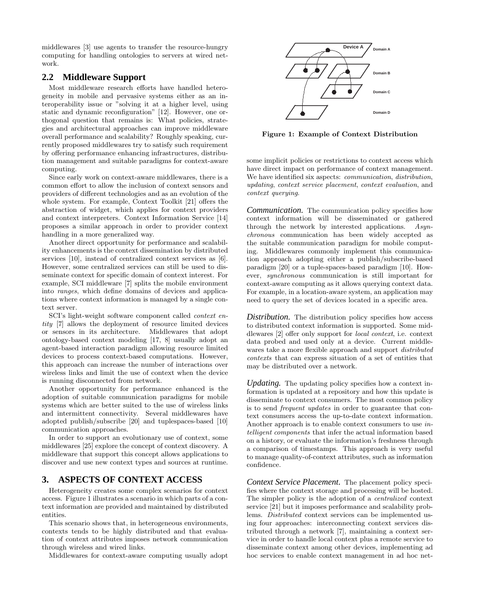middlewares [3] use agents to transfer the resource-hungry computing for handling ontologies to servers at wired network.

## **2.2 Middleware Support**

Most middleware research efforts have handled heterogeneity in mobile and pervasive systems either as an interoperability issue or "solving it at a higher level, using static and dynamic reconfiguration" [12]. However, one orthogonal question that remains is: What policies, strategies and architectural approaches can improve middleware overall performance and scalability? Roughly speaking, currently proposed middlewares try to satisfy such requirement by offering performance enhancing infrastructures, distribution management and suitable paradigms for context-aware computing.

Since early work on context-aware middlewares, there is a common effort to allow the inclusion of context sensors and providers of different technologies and as an evolution of the whole system. For example, Context Toolkit [21] offers the abstraction of widget, which applies for context providers and context interpreters. Context Information Service [14] proposes a similar approach in order to provider context handling in a more generalized way.

Another direct opportunity for performance and scalability enhancements is the context dissemination by distributed services [10], instead of centralized context services as [6]. However, some centralized services can still be used to disseminate context for specific domain of context interest. For example, SCI middleware [7] splits the mobile environment into *ranges*, which define domains of devices and applications where context information is managed by a single context server.

SCI's light-weight software component called *context entity* [7] allows the deployment of resource limited devices or sensors in its architecture. Middlewares that adopt ontology-based context modeling [17, 8] usually adopt an agent-based interaction paradigm allowing resource limited devices to process context-based computations. However, this approach can increase the number of interactions over wireless links and limit the use of context when the device is running disconnected from network.

Another opportunity for performance enhanced is the adoption of suitable communication paradigms for mobile systems which are better suited to the use of wireless links and intermittent connectivity. Several middlewares have adopted publish/subscribe [20] and tuplespaces-based [10] communication approaches.

In order to support an evolutionary use of context, some middlewares [25] explore the concept of context discovery. A middleware that support this concept allows applications to discover and use new context types and sources at runtime.

## **3. ASPECTS OF CONTEXT ACCESS**

Heterogeneity creates some complex scenarios for context access. Figure 1 illustrates a scenario in which parts of a context information are provided and maintained by distributed entities.

This scenario shows that, in heterogeneous environments, contexts tends to be highly distributed and that evaluation of context attributes imposes network communication through wireless and wired links.

Middlewares for context-aware computing usually adopt



**Figure 1: Example of Context Distribution**

some implicit policies or restrictions to context access which have direct impact on performance of context management. We have identified six aspects: *communication*, *distribution*, *updating*, *context service placement*, *context evaluation*, and *context querying*.

*Communication.* The communication policy specifies how context information will be disseminated or gathered through the network by interested applications. *Asynchronous* communication has been widely accepted as the suitable communication paradigm for mobile computing. Middlewares commonly implement this communication approach adopting either a publish/subscribe-based paradigm [20] or a tuple-spaces-based paradigm [10]. However, *synchronous* communication is still important for context-aware computing as it allows querying context data. For example, in a location-aware system, an application may need to query the set of devices located in a specific area.

*Distribution*. The distribution policy specifies how access to distributed context information is supported. Some middlewares [2] offer only support for *local context*, i.e. context data probed and used only at a device. Current middlewares take a more flexible approach and support *distributed contexts* that can express situation of a set of entities that may be distributed over a network.

*Updating.* The updating policy specifies how a context information is updated at a repository and how this update is disseminate to context consumers. The most common policy is to send *frequent updates* in order to guarantee that context consumers access the up-to-date context information. Another approach is to enable context consumers to use *intelligent components* that infer the actual information based on a history, or evaluate the information's freshness through a comparison of timestamps. This approach is very useful to manage quality-of-context attributes, such as information confidence.

*Context Service Placement.* The placement policy specifies where the context storage and processing will be hosted. The simpler policy is the adoption of a *centralized* context service [21] but it imposes performance and scalability problems. *Distributed* context services can be implemented using four approaches: interconnecting context services distributed through a network [7], maintaining a context service in order to handle local context plus a remote service to disseminate context among other devices, implementing ad hoc services to enable context management in ad hoc net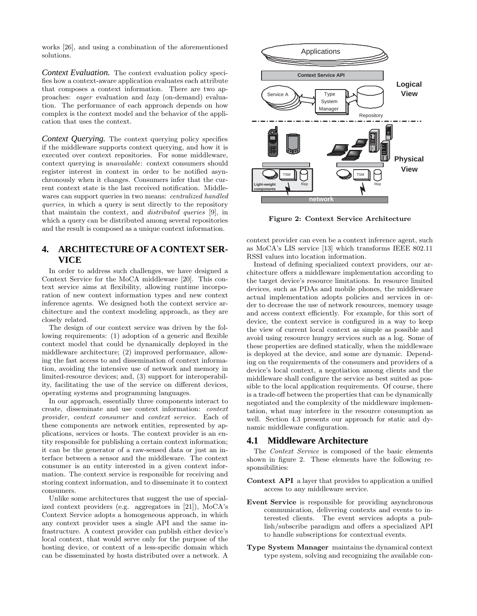works [26], and using a combination of the aforementioned solutions.

*Context Evaluation.* The context evaluation policy specifies how a context-aware application evaluates each attribute that composes a context information. There are two approaches: *eager* evaluation and *lazy* (on-demand) evaluation. The performance of each approach depends on how complex is the context model and the behavior of the application that uses the context.

*Context Querying.* The context querying policy specifies if the middleware supports context querying, and how it is executed over context repositories. For some middleware, context querying is *unavailable*: context consumers should register interest in context in order to be notified asynchronously when it changes. Consumers infer that the current context state is the last received notification. Middlewares can support queries in two means: *centralized handled queries*, in which a query is sent directly to the repository that maintain the context, and *distributed queries* [9], in which a query can be distributed among several repositories and the result is composed as a unique context information.

# **4. ARCHITECTURE OF A CONTEXT SER-VICE**

In order to address such challenges, we have designed a Context Service for the MoCA middleware [20]. This context service aims at flexibility, allowing runtime incorporation of new context information types and new context inference agents. We designed both the context service architecture and the context modeling approach, as they are closely related.

The design of our context service was driven by the following requirements: (1) adoption of a generic and flexible context model that could be dynamically deployed in the middleware architecture; (2) improved performance, allowing the fast access to and dissemination of context information, avoiding the intensive use of network and memory in limited-resource devices; and, (3) support for interoperability, facilitating the use of the service on different devices, operating systems and programming languages.

In our approach, essentially three components interact to create, disseminate and use context information: *context provider*, *context consumer* and *context service*. Each of these components are network entities, represented by applications, services or hosts. The context provider is an entity responsible for publishing a certain context information; it can be the generator of a raw-sensed data or just an interface between a sensor and the middleware. The context consumer is an entity interested in a given context information. The context service is responsible for receiving and storing context information, and to disseminate it to context consumers.

Unlike some architectures that suggest the use of specialized context providers (e.g. aggregators in [21]), MoCA's Context Service adopts a homogeneous approach, in which any context provider uses a single API and the same infrastructure. A context provider can publish either device's local context, that would serve only for the purpose of the hosting device, or context of a less-specific domain which can be disseminated by hosts distributed over a network. A



**Figure 2: Context Service Architecture**

context provider can even be a context inference agent, such as MoCA's LIS service [13] which transforms IEEE 802.11 RSSI values into location information.

Instead of defining specialized context providers, our architecture offers a middleware implementation according to the target device's resource limitations. In resource limited devices, such as PDAs and mobile phones, the middleware actual implementation adopts policies and services in order to decrease the use of network resources, memory usage and access context efficiently. For example, for this sort of device, the context service is configured in a way to keep the view of current local context as simple as possible and avoid using resource hungry services such as a log. Some of these properties are defined statically, when the middleware is deployed at the device, and some are dynamic. Depending on the requirements of the consumers and providers of a device's local context, a negotiation among clients and the middleware shall configure the service as best suited as possible to the local application requirements. Of course, there is a trade-off between the properties that can be dynamically negotiated and the complexity of the middleware implementation, what may interfere in the resource consumption as well. Section 4.3 presents our approach for static and dynamic middleware configuration.

### **4.1 Middleware Architecture**

The *Context Service* is composed of the basic elements shown in figure 2. These elements have the following responsibilities:

- **Context API** a layer that provides to application a unified access to any middleware service.
- **Event Service** is responsible for providing asynchronous communication, delivering contexts and events to interested clients. The event services adopts a publish/subscribe paradigm and offers a specialized API to handle subscriptions for contextual events.
- **Type System Manager** maintains the dynamical context type system, solving and recognizing the available con-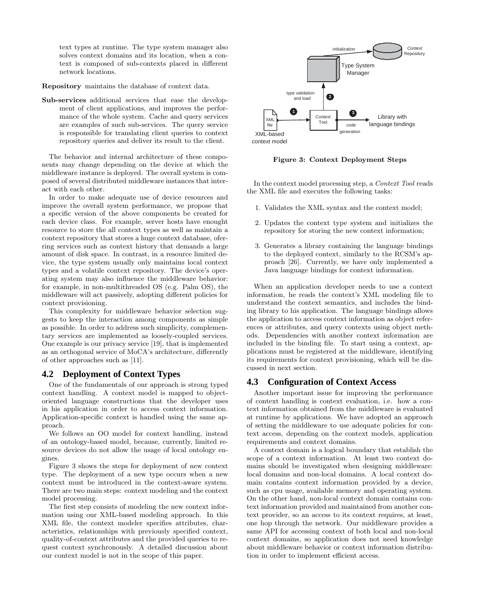text types at runtime. The type system manager also solves context domains and its location, when a context is composed of sub-contexts placed in different network locations.

**Repository** maintains the database of context data.

**Sub-services** additional services that ease the development of client applications, and improves the performance of the whole system. Cache and query services are examples of such sub-services. The query service is responsible for translating client queries to context repository queries and deliver its result to the client.

The behavior and internal architecture of these components may change depending on the device at which the middleware instance is deployed. The overall system is composed of several distributed middleware instances that interact with each other.

In order to make adequate use of device resources and improve the overall system performance, we propose that a specific version of the above components be created for each device class. For example, server hosts have enought resource to store the all context types as well as maintain a context repository that stores a huge context database, oferring services such as context history that demands a large amount of disk space. In contrast, in a resource limited device, the type system usually only maintains local context types and a volatile context repository. The device's operating system may also influence the middleware behavior: for example, in non-multithreaded OS (e.g. Palm OS), the middleware will act passively, adopting different policies for context provisioning.

This complexity for middleware behavior selection suggests to keep the interaction among components as simple as possible. In order to address such simplicity, complementary services are implemented as loosely-coupled services. One example is our privacy service [19], that is implemented as an orthogonal service of MoCA's architecture, differently of other approaches such as [11].

### **4.2 Deployment of Context Types**

One of the fundamentals of our approach is strong typed context handling. A context model is mapped to objectoriented language constructions that the developer uses in his application in order to access context information. Application-specific context is handled using the same approach.

We follows an OO model for context handling, instead of an ontology-based model, because, currently, limited resource devices do not allow the usage of local ontology engines.

Figure 3 shows the steps for deployment of new context type. The deployment of a new type occurs when a new context must be introduced in the context-aware system. There are two main steps: context modeling and the context model processing.

The first step consists of modeling the new context information using our XML-based modeling approach. In this XML file, the context modeler specifies attributes, characteristics, relationships with previously specified context, quality-of-context attributes and the provided queries to request context synchronously. A detailed discussion about our context model is not in the scope of this paper.



**Figure 3: Context Deployment Steps**

In the context model processing step, a *Context Tool* reads the XML file and executes the following tasks:

- 1. Validates the XML syntax and the context model;
- 2. Updates the context type system and initializes the repository for storing the new context information;
- 3. Generates a library containing the language bindings to the deployed context, similarly to the RCSM's approach [26]. Currently, we have only implemented a Java language bindings for context information.

When an application developer needs to use a context information, he reads the context's XML modeling file to understand the context semantics, and includes the binding library to his application. The language bindings allows the application to access context information as object references or attributes, and query contexts using object methods. Dependencies with another context information are included in the binding file. To start using a context, applications must be registered at the middleware, identifying its requirements for context provisioning, which will be discussed in next section.

### **4.3 Configuration of Context Access**

Another important issue for improving the performance of context handling is context evaluation, i.e. how a context information obtained from the middleware is evaluated at runtime by applications. We have adopted an approach of setting the middleware to use adequate policies for context access, depending on the context models, application requirements and context domains.

A context domain is a logical boundary that establish the scope of a context information. At least two context domains should be investigated when designing middleware: local domains and non-local domains. A local context domain contains context information provided by a device, such as cpu usage, available memory and operating system. On the other hand, non-local context domain contains context information provided and maintained from another context provider, so an access to its context requires, at least, one hop through the network. Our middleware provides a same API for accessing context of both local and non-local context domains, so application does not need knowledge about middleware behavior or context information distribution in order to implement efficient access.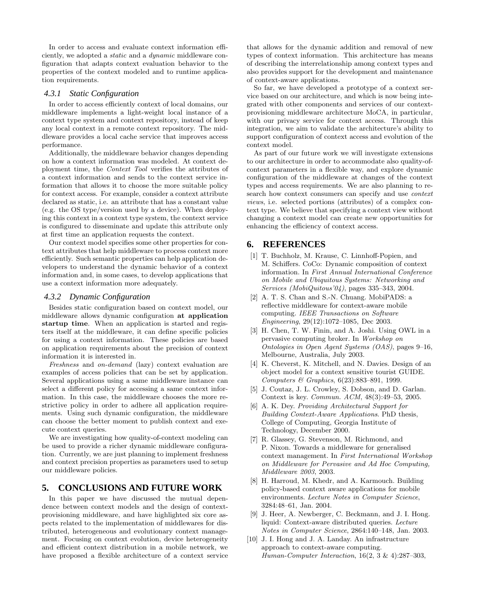In order to access and evaluate context information efficiently, we adopted a *static* and a *dynamic* middleware configuration that adapts context evaluation behavior to the properties of the context modeled and to runtime application requirements.

#### *4.3.1 Static Configuration*

In order to access efficiently context of local domains, our middleware implements a light-weight local instance of a context type system and context repository, instead of keep any local context in a remote context repository. The middleware provides a local cache service that improves access performance.

Additionally, the middleware behavior changes depending on how a context information was modeled. At context deployment time, the *Context Tool* verifies the attributes of a context information and sends to the context service information that allows it to choose the more suitable policy for context access. For example, consider a context attribute declared as static, i.e. an attribute that has a constant value (e.g. the OS type/version used by a device). When deploying this context in a context type system, the context service is configured to disseminate and update this attribute only at first time an application requests the context.

Our context model specifies some other properties for context attributes that help middleware to process context more efficiently. Such semantic properties can help application developers to understand the dynamic behavior of a context information and, in some cases, to develop applications that use a context information more adequately.

#### *4.3.2 Dynamic Configuration*

Besides static configuration based on context model, our middleware allows dynamic configuration **at application startup time**. When an application is started and registers itself at the middleware, it can define specific policies for using a context information. These policies are based on application requirements about the precision of context information it is interested in.

*Freshness* and *on-demand* (lazy) context evaluation are examples of access policies that can be set by application. Several applications using a same middleware instance can select a different policy for accessing a same context information. In this case, the middleware chooses the more restrictive policy in order to adhere all application requirements. Using such dynamic configuration, the middleware can choose the better moment to publish context and execute context queries.

We are investigating how quality-of-context modeling can be used to provide a richer dynamic middleware configuration. Currently, we are just planning to implement freshness and context precision properties as parameters used to setup our middleware policies.

### **5. CONCLUSIONS AND FUTURE WORK**

In this paper we have discussed the mutual dependence between context models and the design of contextprovisioning middleware, and have highlighted six core aspects related to the implementation of middlewares for distributed, heterogeneous and evolutionary context management. Focusing on context evolution, device heterogeneity and efficient context distribution in a mobile network, we have proposed a flexible architecture of a context service that allows for the dynamic addition and removal of new types of context information. This architecture has means of describing the interrelationship among context types and also provides support for the development and maintenance of context-aware applications.

So far, we have developed a prototype of a context service based on our architecture, and which is now being integrated with other components and services of our contextprovisioning middleware architecture MoCA, in particular, with our privacy service for context access. Through this integration, we aim to validate the architecture's ability to support configuration of context access and evolution of the context model.

As part of our future work we will investigate extensions to our architecture in order to accommodate also quality-ofcontext parameters in a flexible way, and explore dynamic configuration of the middleware at changes of the context types and access requirements. We are also planning to research how context consumers can specify and use *context views*, i.e. selected portions (attributes) of a complex context type. We believe that specifying a context view without changing a context model can create new opportunities for enhancing the efficiency of context access.

## **6. REFERENCES**

- [1] T. Buchholz, M. Krause, C. Linnhoff-Popien, and M. Schiffers. CoCo: Dynamic composition of context information. In *First Annual International Conference on Mobile and Ubiquitous Systems: Networking and Services (MobiQuitous'04)*, pages 335–343, 2004.
- [2] A. T. S. Chan and S.-N. Chuang. MobiPADS: a reflective middleware for context-aware mobile computing. *IEEE Transactions on Software Engineering*, 29(12):1072–1085, Dec 2003.
- [3] H. Chen, T. W. Finin, and A. Joshi. Using OWL in a pervasive computing broker. In *Workshop on Ontologies in Open Agent Systems (OAS)*, pages 9–16, Melbourne, Australia, July 2003.
- [4] K. Cheverst, K. Mitchell, and N. Davies. Design of an object model for a context sensitive tourist GUIDE. *Computers & Graphics*, 6(23):883–891, 1999.
- [5] J. Coutaz, J. L. Crowley, S. Dobson, and D. Garlan. Context is key. *Commun. ACM*, 48(3):49–53, 2005.
- [6] A. K. Dey. *Providing Architectural Support for Building Context-Aware Applications*. PhD thesis, College of Computing, Georgia Institute of Technology, December 2000.
- [7] R. Glassey, G. Stevenson, M. Richmond, and P. Nixon. Towards a middleware for generalised context management. In *First International Workshop on Middleware for Pervasive and Ad Hoc Computing, Middleware 2003*, 2003.
- [8] H. Harroud, M. Khedr, and A. Karmouch. Building policy-based context aware applications for mobile environments. *Lecture Notes in Computer Science*, 3284:48–61, Jan. 2004.
- [9] J. Heer, A. Newberger, C. Beckmann, and J. I. Hong. liquid: Context-aware distributed queries. *Lecture Notes in Computer Science*, 2864:140–148, Jan. 2003.
- [10] J. I. Hong and J. A. Landay. An infrastructure approach to context-aware computing. *Human-Computer Interaction*, 16(2, 3 & 4):287–303,